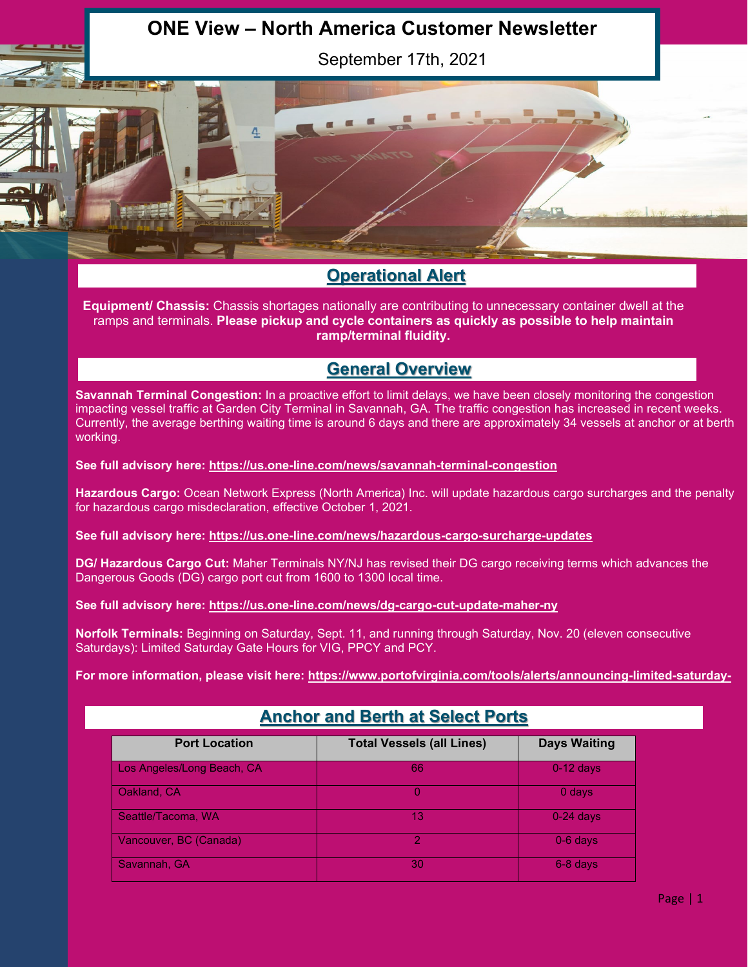# **ONE View – North America Customer Newsletter**

September 17th, 2021

## **Operational Alert**

 $\overline{\mathbf{r}}$ 

**Equipment/ Chassis:** Chassis shortages nationally are contributing to unnecessary container dwell at the ramps and terminals. **Please pickup and cycle containers as quickly as possible to help maintain ramp/terminal fluidity.**

## **General Overview**

**Savannah Terminal Congestion:** In a proactive effort to limit delays, we have been closely monitoring the congestion impacting vessel traffic at Garden City Terminal in Savannah, GA. The traffic congestion has increased in recent weeks. Currently, the average berthing waiting time is around 6 days and there are approximately 34 vessels at anchor or at berth working.

**See full advisory here:<https://us.one-line.com/news/savannah-terminal-congestion>**

**Hazardous Cargo:** Ocean Network Express (North America) Inc. will update hazardous cargo surcharges and the penalty for hazardous cargo misdeclaration, effective October 1, 2021.

**See full advisory here:<https://us.one-line.com/news/hazardous-cargo-surcharge-updates>**

**DG/ Hazardous Cargo Cut:** Maher Terminals NY/NJ has revised their DG cargo receiving terms which advances the Dangerous Goods (DG) cargo port cut from 1600 to 1300 local time.

**See full advisory here:<https://us.one-line.com/news/dg-cargo-cut-update-maher-ny>**

**Norfolk Terminals:** Beginning on Saturday, Sept. 11, and running through Saturday, Nov. 20 (eleven consecutive Saturdays): Limited Saturday Gate Hours for VIG, PPCY and PCY.

[For more information, please visit here: https://www.portofvirginia.com/tools/alerts/announcing-limited-saturday-](https://www.portofvirginia.com/tools/alerts/announcing-limited-saturday-gate-hours-for-vig-ppcy-and-pcy-sept-11-nov-20-2021/)

| <b>Port Location</b>       | <b>Total Vessels (all Lines)</b> | <b>Days Waiting</b> |
|----------------------------|----------------------------------|---------------------|
| Los Angeles/Long Beach, CA | 66                               | $0-12$ days         |
| Oakland, CA                |                                  | $0$ days            |
| Seattle/Tacoma, WA         | 13                               | $0-24$ days         |
| Vancouver, BC (Canada)     | റ                                | $0-6$ days          |
| Savannah, GA               | 30                               | 6-8 days            |

## **Anchor and Berth at Select Ports**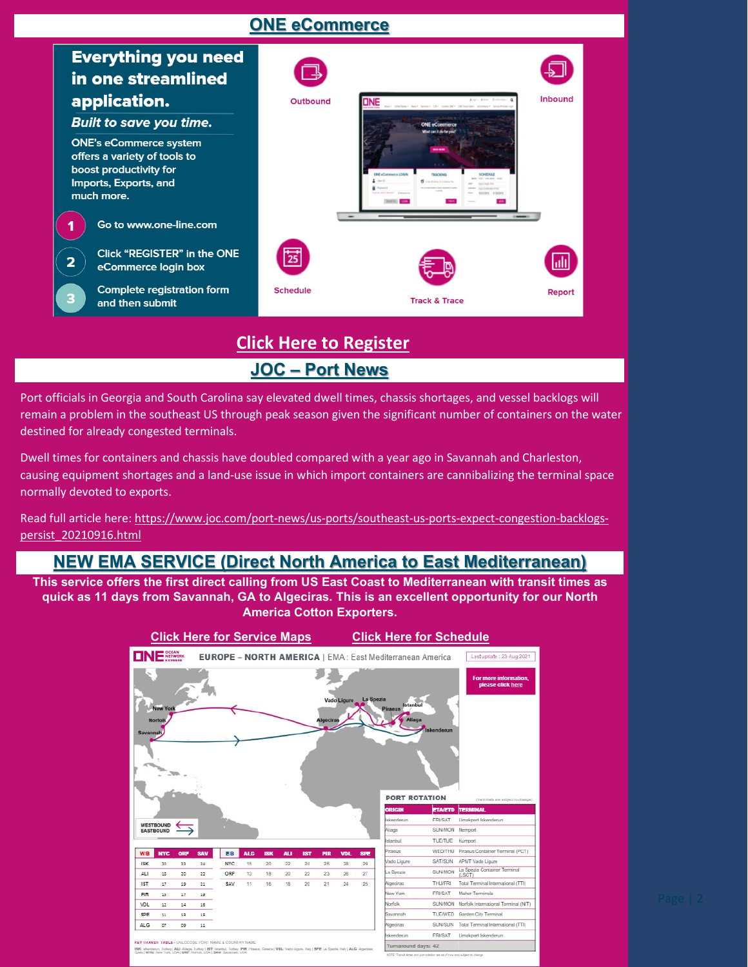## **ONE eCommerce**



## **JOC – Port News [Click Here to Register](https://ecomm.one-line.com/ecom/CUP_HOM_1020.do?redir=Y&sessLocale=en)**

Port officials in Georgia and South Carolina say elevated dwell times, chassis shortages, and vessel backlogs will remain a problem in the southeast US through peak season given the significant number of containers on the water destined for already congested terminals.

Dwell times for containers and chassis have doubled compared with a year ago in Savannah and Charleston, causing equipment shortages and a land-use issue in which import containers are cannibalizing the terminal space normally devoted to exports.

Read full article here: [https://www.joc.com/port-news/us-ports/southeast-us-ports-expect-congestion-backlogs](https://www.joc.com/port-news/us-ports/southeast-us-ports-expect-congestion-backlogs-persist_20210916.html)[persist\\_20210916.html](https://www.joc.com/port-news/us-ports/southeast-us-ports-expect-congestion-backlogs-persist_20210916.html)

### **NEW EMA SERVICE (Direct North America to East Mediterranean)**

**This service offers the first direct calling from US East Coast to Mediterranean with transit times as quick as 11 days from Savannah, GA to Algeciras. This is an excellent opportunity for our North America Cotton Exporters.**